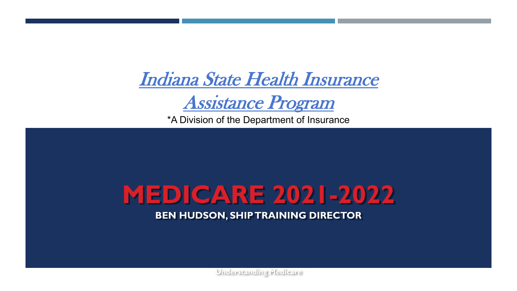Indiana State Health Insurance

Assistance Program

\*A Division of the Department of Insurance

### **MEDICARE 2021-2022**

**BEN HUDSON, SHIP TRAINING DIRECTOR**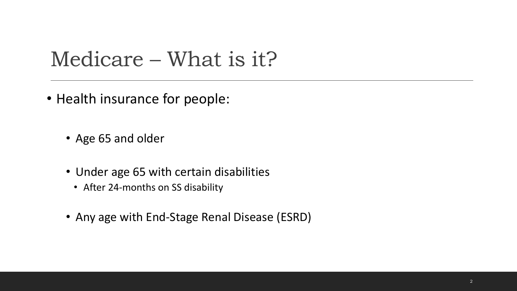#### Medicare – What is it?

- Health insurance for people:
	- Age 65 and older
	- Under age 65 with certain disabilities
		- After 24-months on SS disability
	- Any age with End-Stage Renal Disease (ESRD)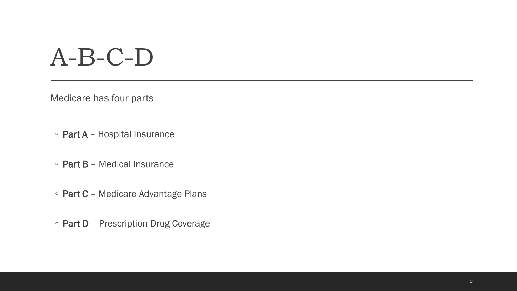## A-B-C-D

Medicare has four parts

- Part A Hospital Insurance
- Part B Medical Insurance
- Part C Medicare Advantage Plans
- Part D Prescription Drug Coverage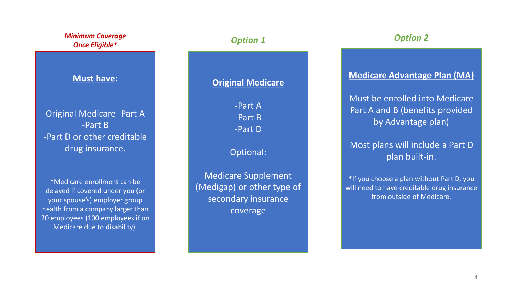| <b>Minimum Coverage</b><br><b>Once Eligible*</b>                                                                                                                                                           | <b>Option 1</b>                                                                             | <b>Option 2</b>                                                                                                       |
|------------------------------------------------------------------------------------------------------------------------------------------------------------------------------------------------------------|---------------------------------------------------------------------------------------------|-----------------------------------------------------------------------------------------------------------------------|
| <b>Must have:</b>                                                                                                                                                                                          | <b>Original Medicare</b>                                                                    | <b>Medicare Advantage Plan (MA)</b>                                                                                   |
| <b>Original Medicare -Part A</b><br>$-Part B$<br>-Part D or other creditable                                                                                                                               | -Part A<br>-Part B<br>-Part D                                                               | Must be enrolled into Medicare<br>Part A and B (benefits provided<br>by Advantage plan)                               |
| drug insurance.                                                                                                                                                                                            | Optional:                                                                                   | Most plans will include a Part D<br>plan built-in.                                                                    |
| *Medicare enrollment can be<br>delayed if covered under you (or<br>your spouse's) employer group<br>health from a company larger than<br>20 employees (100 employees if on<br>Medicare due to disability). | <b>Medicare Supplement</b><br>(Medigap) or other type of<br>secondary insurance<br>coverage | *If you choose a plan without Part D, you<br>will need to have creditable drug insurance<br>from outside of Medicare. |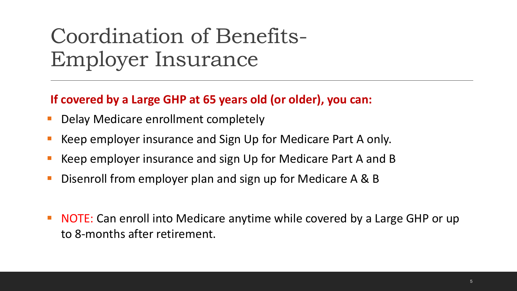### Coordination of Benefits-Employer Insurance

#### **If covered by a Large GHP at 65 years old (or older), you can:**

- Delay Medicare enrollment completely
- Keep employer insurance and Sign Up for Medicare Part A only.
- Keep employer insurance and sign Up for Medicare Part A and B
- Disenroll from employer plan and sign up for Medicare A & B
- NOTE: Can enroll into Medicare anytime while covered by a Large GHP or up to 8-months after retirement.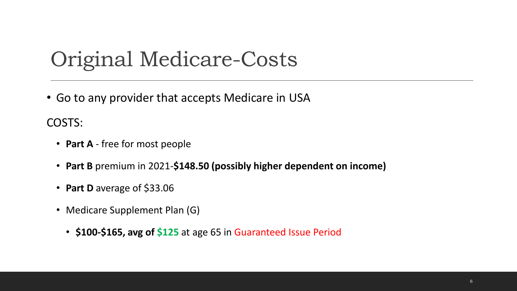#### Original Medicare-Costs

• Go to any provider that accepts Medicare in USA

COSTS:

- **Part A**  free for most people
- **Part B** premium in 2021-**\$148.50 (possibly higher dependent on income)**
- **Part D** average of \$33.06
- Medicare Supplement Plan (G)
	- **\$100-\$165, avg of \$125** at age 65 in Guaranteed Issue Period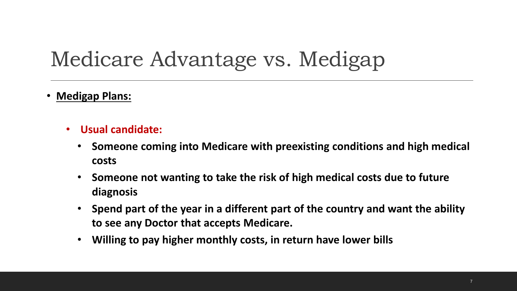### Medicare Advantage vs. Medigap

- **Medigap Plans:**
	- **Usual candidate:**
		- **Someone coming into Medicare with preexisting conditions and high medical costs**
		- **Someone not wanting to take the risk of high medical costs due to future diagnosis**
		- **Spend part of the year in a different part of the country and want the ability to see any Doctor that accepts Medicare.**
		- **Willing to pay higher monthly costs, in return have lower bills**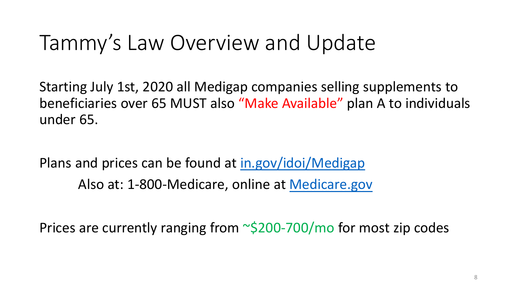#### Tammy's Law Overview and Update

Starting July 1st, 2020 all Medigap companies selling supplements to beneficiaries over 65 MUST also "Make Available" plan A to individuals under 65.

Plans and prices can be found at in.gov/idoi/Medigap Also at: 1-800-Medicare, online at Medicare.gov

Prices are currently ranging from  $\sim$ \$200-700/mo for most zip codes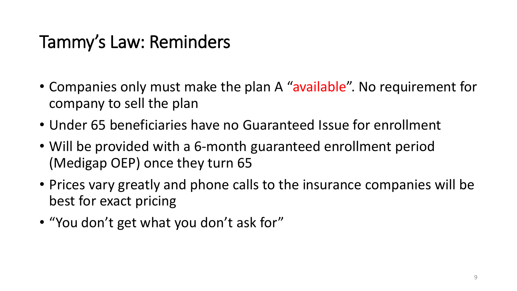#### Tammy's Law: Reminders

- Companies only must make the plan A "available". No requirement for company to sell the plan
- Under 65 beneficiaries have no Guaranteed Issue for enrollment
- Will be provided with a 6-month guaranteed enrollment period (Medigap OEP) once they turn 65
- Prices vary greatly and phone calls to the insurance companies will be best for exact pricing
- "You don't get what you don't ask for"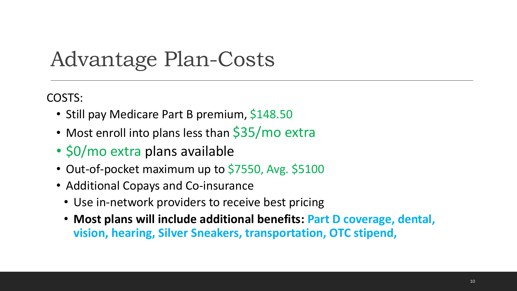#### Advantage Plan-Costs

COSTS:

- Still pay Medicare Part B premium, \$148.50
- Most enroll into plans less than \$35/mo extra
- \$0/mo extra plans available
- Out-of-pocket maximum up to \$7550, Avg. \$5100
- Additional Copays and Co-insurance
	- Use in-network providers to receive best pricing
	- **Most plans will include additional benefits: Part D coverage, dental, vision, hearing, Silver Sneakers, transportation, OTC stipend,**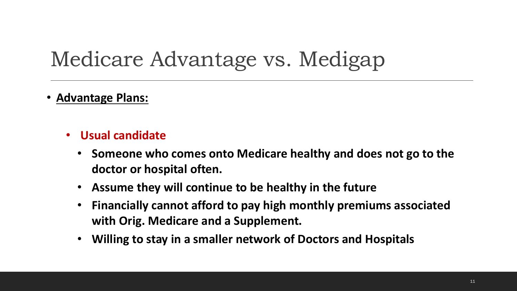#### Medicare Advantage vs. Medigap

- **Advantage Plans:**
	- **Usual candidate**
		- **Someone who comes onto Medicare healthy and does not go to the doctor or hospital often.**
		- **Assume they will continue to be healthy in the future**
		- **Financially cannot afford to pay high monthly premiums associated with Orig. Medicare and a Supplement.**
		- **Willing to stay in a smaller network of Doctors and Hospitals**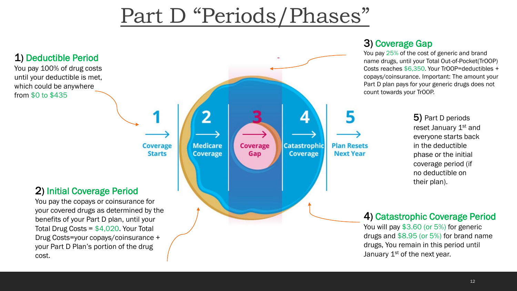#### Part D "Periods/Phases"



#### 3) Coverage Gap

You pay 25% of the cost of generic and brand name drugs, until your Total Out-of-Pocket(TrOOP) Costs reaches \$6,350. Your TrOOP=deductibles + copays/coinsurance. Important: The amount your Part D plan pays for your generic drugs does not count towards your TrOOP.

> 5) Part D periods reset January 1<sup>st</sup> and everyone starts back in the deductible phase or the initial coverage period (if no deductible on their plan).

#### 4) Catastrophic Coverage Period

You will pay \$3.60 (or 5%) for generic drugs and \$8.95 (or 5%) for brand name drugs, You remain in this period until January  $1<sup>st</sup>$  of the next year.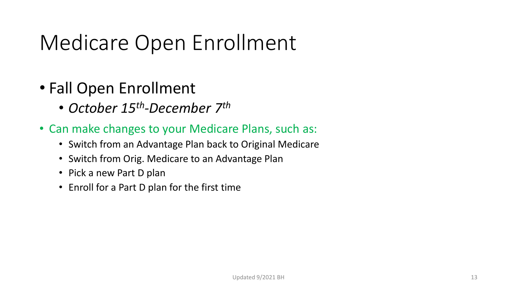### Medicare Open Enrollment

- Fall Open Enrollment
	- *October 15th-December 7th*
- Can make changes to your Medicare Plans, such as:
	- Switch from an Advantage Plan back to Original Medicare
	- Switch from Orig. Medicare to an Advantage Plan
	- Pick a new Part D plan
	- Enroll for a Part D plan for the first time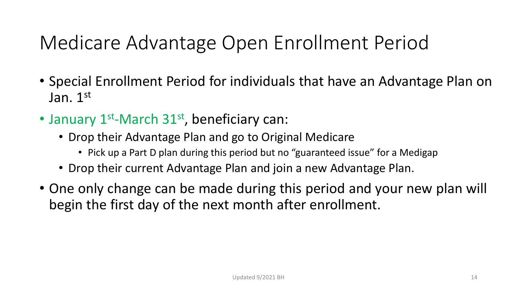#### Medicare Advantage Open Enrollment Period

- Special Enrollment Period for individuals that have an Advantage Plan on Jan. 1st
- January 1<sup>st</sup>-March 31<sup>st</sup>, beneficiary can:
	- Drop their Advantage Plan and go to Original Medicare
		- Pick up a Part D plan during this period but no "guaranteed issue" for a Medigap
	- Drop their current Advantage Plan and join a new Advantage Plan.
- One only change can be made during this period and your new plan will begin the first day of the next month after enrollment.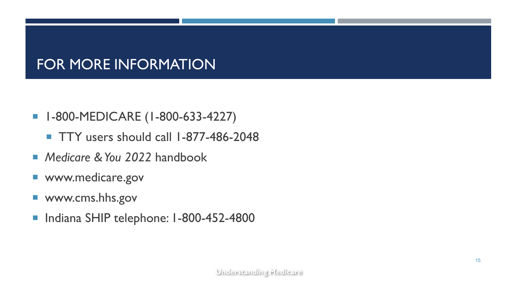#### FOR MORE INFORMATION

- **1-800-MEDICARE (1-800-633-4227)** 
	- **TTY** users should call 1-877-486-2048
- *Medicare & You 2022* handbook
- www.medicare.gov
- www.cms.hhs.gov
- Indiana SHIP telephone: I-800-452-4800